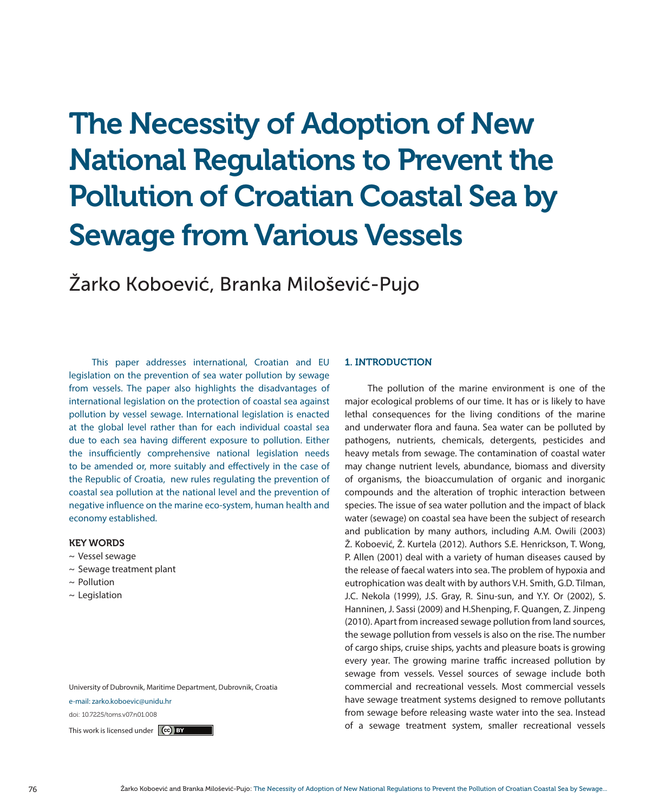# The Necessity of Adoption of New National Regulations to Prevent the Pollution of Croatian Coastal Sea by Sewage from Various Vessels

Žarko Koboević, Branka Milošević-Pujo

This paper addresses international, Croatian and EU legislation on the prevention of sea water pollution by sewage from vessels. The paper also highlights the disadvantages of international legislation on the protection of coastal sea against pollution by vessel sewage. International legislation is enacted at the global level rather than for each individual coastal sea due to each sea having different exposure to pollution. Either the insufficiently comprehensive national legislation needs to be amended or, more suitably and effectively in the case of the Republic of Croatia, new rules regulating the prevention of coastal sea pollution at the national level and the prevention of negative influence on the marine eco-system, human health and economy established.

#### KEY WORDS

- ~ Vessel sewage
- ~ Sewage treatment plant
- ~ Pollution
- $\sim$  Legislation

University of Dubrovnik, Maritime Department, Dubrovnik, Croatia

e-mail: zarko.koboevic@unidu.hr

doi: 10.7225/toms.v07.n01.008

#### 1. INTRODUCTION

The pollution of the marine environment is one of the major ecological problems of our time. It has or is likely to have lethal consequences for the living conditions of the marine and underwater flora and fauna. Sea water can be polluted by pathogens, nutrients, chemicals, detergents, pesticides and heavy metals from sewage. The contamination of coastal water may change nutrient levels, abundance, biomass and diversity of organisms, the bioaccumulation of organic and inorganic compounds and the alteration of trophic interaction between species. The issue of sea water pollution and the impact of black water (sewage) on coastal sea have been the subject of research and publication by many authors, including A.M. Owili (2003) Ž. Koboević, Ž. Kurtela (2012). Authors S.E. Henrickson, T. Wong, P. Allen (2001) deal with a variety of human diseases caused by the release of faecal waters into sea. The problem of hypoxia and eutrophication was dealt with by authors V.H. Smith, G.D. Tilman, J.C. Nekola (1999), J.S. Gray, R. Sinu-sun, and Y.Y. Or (2002), S. Hanninen, J. Sassi (2009) and H.Shenping, F. Quangen, Z. Jinpeng (2010). Apart from increased sewage pollution from land sources, the sewage pollution from vessels is also on the rise. The number of cargo ships, cruise ships, yachts and pleasure boats is growing every year. The growing marine traffic increased pollution by sewage from vessels. Vessel sources of sewage include both commercial and recreational vessels. Most commercial vessels have sewage treatment systems designed to remove pollutants from sewage before releasing waste water into the sea. Instead This work is licensed under  $\left[\text{ce}\right)$  by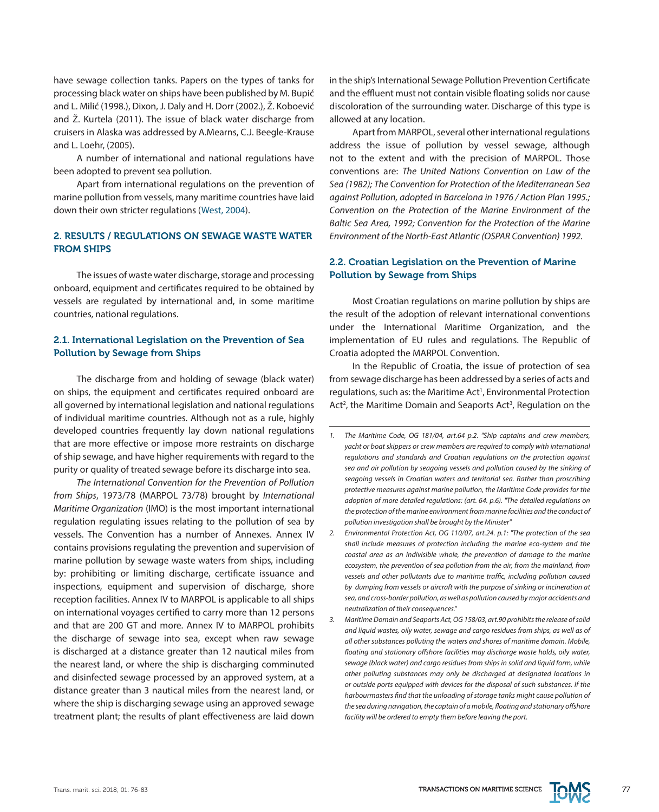have sewage collection tanks. Papers on the types of tanks for processing black water on ships have been published by M. Bupić and L. Milić (1998.), Dixon, J. Daly and H. Dorr (2002.), Ž. Koboević and Ž. Kurtela (2011). The issue of black water discharge from cruisers in Alaska was addressed by A.Mearns, C.J. Beegle-Krause and L. Loehr, (2005).

A number of international and national regulations have been adopted to prevent sea pollution.

Apart from international regulations on the prevention of marine pollution from vessels, many maritime countries have laid down their own stricter regulations ([West, 2004\)](https://docs.imo.org).

## 2. RESULTS / REGULATIONS ON SEWAGE WASTE WATER FROM SHIPS

The issues of waste water discharge, storage and processing onboard, equipment and certificates required to be obtained by vessels are regulated by international and, in some maritime countries, national regulations.

#### 2.1. International Legislation on the Prevention of Sea Pollution by Sewage from Ships

The discharge from and holding of sewage (black water) on ships, the equipment and certificates required onboard are all governed by international legislation and national regulations of individual maritime countries. Although not as a rule, highly developed countries frequently lay down national regulations that are more effective or impose more restraints on discharge of ship sewage, and have higher requirements with regard to the purity or quality of treated sewage before its discharge into sea.

*The International Convention for the Prevention of Pollution from Ships*, 1973/78 (MARPOL 73/78) brought by *International Maritime Organization* (IMO) is the most important international regulation regulating issues relating to the pollution of sea by vessels. The Convention has a number of Annexes. Annex IV contains provisions regulating the prevention and supervision of marine pollution by sewage waste waters from ships, including by: prohibiting or limiting discharge, certificate issuance and inspections, equipment and supervision of discharge, shore reception facilities. Annex IV to MARPOL is applicable to all ships on international voyages certified to carry more than 12 persons and that are 200 GT and more. Annex IV to MARPOL prohibits the discharge of sewage into sea, except when raw sewage is discharged at a distance greater than 12 nautical miles from the nearest land, or where the ship is discharging comminuted and disinfected sewage processed by an approved system, at a distance greater than 3 nautical miles from the nearest land, or where the ship is discharging sewage using an approved sewage treatment plant; the results of plant effectiveness are laid down

in the ship's International Sewage Pollution Prevention Certificate and the effluent must not contain visible floating solids nor cause discoloration of the surrounding water. Discharge of this type is allowed at any location.

Apart from MARPOL, several other international regulations address the issue of pollution by vessel sewage, although not to the extent and with the precision of MARPOL. Those conventions are: *The United Nations Convention on Law of the Sea (1982); The Convention for Protection of the Mediterranean Sea against Pollution, adopted in Barcelona in 1976 / Action Plan 1995.; Convention on the Protection of the Marine Environment of the Baltic Sea Area, 1992; Convention for the Protection of the Marine Environment of the North-East Atlantic (OSPAR Convention) 1992.*

## 2.2. Croatian Legislation on the Prevention of Marine Pollution by Sewage from Ships

Most Croatian regulations on marine pollution by ships are the result of the adoption of relevant international conventions under the International Maritime Organization, and the implementation of EU rules and regulations. The Republic of Croatia adopted the MARPOL Convention.

In the Republic of Croatia, the issue of protection of sea from sewage discharge has been addressed by a series of acts and regulations, such as: the Maritime Act<sup>1</sup>, Environmental Protection Act<sup>2</sup>, the Maritime Domain and Seaports Act<sup>3</sup>, Regulation on the

- *2. Environmental Protection Act, OG 110/07, art.24. p.1: "The protection of the sea shall include measures of protection including the marine eco-system and the coastal area as an indivisible whole, the prevention of damage to the marine ecosystem, the prevention of sea pollution from the air, from the mainland, from vessels and other pollutants due to maritime traffic, including pollution caused by dumping from vessels or aircraft with the purpose of sinking or incineration at sea, and cross-border pollution, as well as pollution caused by major accidents and neutralization of their consequences."*
- *3. Maritime Domain and Seaports Act, OG 158/03, art.90 prohibits the release of solid and liquid wastes, oily water, sewage and cargo residues from ships, as well as of all other substances polluting the waters and shores of maritime domain. Mobile, floating and stationary offshore facilities may discharge waste holds, oily water, sewage (black water) and cargo residues from ships in solid and liquid form, while other polluting substances may only be discharged at designated locations in or outside ports equipped with devices for the disposal of such substances. If the harbourmasters find that the unloading of storage tanks might cause pollution of the sea during navigation, the captain of a mobile, floating and stationary offshore facility will be ordered to empty them before leaving the port.*



*<sup>1.</sup> The Maritime Code, OG 181/04, art.64 p.2. "Ship captains and crew members, yacht or boat skippers or crew members are required to comply with international regulations and standards and Croatian regulations on the protection against sea and air pollution by seagoing vessels and pollution caused by the sinking of seagoing vessels in Croatian waters and territorial sea. Rather than proscribing protective measures against marine pollution, the Maritime Code provides for the adoption of more detailed regulations: (art. 64. p.6). "The detailed regulations on the protection of the marine environment from marine facilities and the conduct of pollution investigation shall be brought by the Minister"*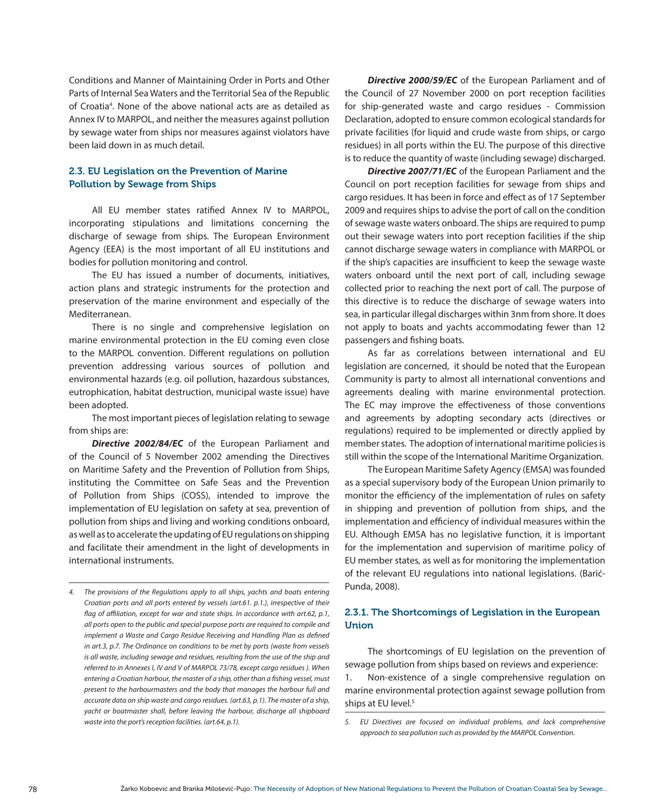Conditions and Manner of Maintaining Order in Ports and Other Parts of Internal Sea Waters and the Territorial Sea of the Republic of Croatia4 . None of the above national acts are as detailed as Annex IV to MARPOL, and neither the measures against pollution by sewage water from ships nor measures against violators have been laid down in as much detail.

## 2.3. EU Legislation on the Prevention of Marine Pollution by Sewage from Ships

All EU member states ratified Annex IV to MARPOL, incorporating stipulations and limitations concerning the discharge of sewage from ships. The European Environment Agency (EEA) is the most important of all EU institutions and bodies for pollution monitoring and control.

The EU has issued a number of documents, initiatives, action plans and strategic instruments for the protection and preservation of the marine environment and especially of the Mediterranean.

There is no single and comprehensive legislation on marine environmental protection in the EU coming even close to the MARPOL convention. Different regulations on pollution prevention addressing various sources of pollution and environmental hazards (e.g. oil pollution, hazardous substances, eutrophication, habitat destruction, municipal waste issue) have been adopted.

The most important pieces of legislation relating to sewage from ships are:

*Directive 2002/84/EC* of the European Parliament and of the Council of 5 November 2002 amending the Directives on Maritime Safety and the Prevention of Pollution from Ships, instituting the Committee on Safe Seas and the Prevention of Pollution from Ships (COSS), intended to improve the implementation of EU legislation on safety at sea, prevention of pollution from ships and living and working conditions onboard, as well as to accelerate the updating of EU regulations on shipping and facilitate their amendment in the light of developments in international instruments.

*Directive 2000/59/EC* of the European Parliament and of the Council of 27 November 2000 on port reception facilities for ship-generated waste and cargo residues - Commission Declaration, adopted to ensure common ecological standards for private facilities (for liquid and crude waste from ships, or cargo residues) in all ports within the EU. The purpose of this directive is to reduce the quantity of waste (including sewage) discharged.

*Directive 2007/71/EC* of the European Parliament and the Council on port reception facilities for sewage from ships and cargo residues. It has been in force and effect as of 17 September 2009 and requires ships to advise the port of call on the condition of sewage waste waters onboard. The ships are required to pump out their sewage waters into port reception facilities if the ship cannot discharge sewage waters in compliance with MARPOL or if the ship's capacities are insufficient to keep the sewage waste waters onboard until the next port of call, including sewage collected prior to reaching the next port of call. The purpose of this directive is to reduce the discharge of sewage waters into sea, in particular illegal discharges within 3nm from shore. It does not apply to boats and yachts accommodating fewer than 12 passengers and fishing boats.

As far as correlations between international and EU legislation are concerned, it should be noted that the European Community is party to almost all international conventions and agreements dealing with marine environmental protection. The EC may improve the effectiveness of those conventions and agreements by adopting secondary acts (directives or regulations) required to be implemented or directly applied by member states. The adoption of international maritime policies is still within the scope of the International Maritime Organization.

The European Maritime Safety Agency (EMSA) was founded as a special supervisory body of the European Union primarily to monitor the efficiency of the implementation of rules on safety in shipping and prevention of pollution from ships, and the implementation and efficiency of individual measures within the EU. Although EMSA has no legislative function, it is important for the implementation and supervision of maritime policy of EU member states, as well as for monitoring the implementation of the relevant EU regulations into national legislations. (Barić-Punda, 2008).

## 2.3.1. The Shortcomings of Legislation in the European Union

The shortcomings of EU legislation on the prevention of sewage pollution from ships based on reviews and experience:

1. Non-existence of a single comprehensive regulation on marine environmental protection against sewage pollution from ships at EU level.<sup>5</sup>

*<sup>4.</sup> The provisions of the Regulations apply to all ships, yachts and boats entering Croatian ports and all ports entered by vessels (art.61. p.1.), irrespective of their flag of affiliation, except for war and state ships. In accordance with art.62, p.1, all ports open to the public and special purpose ports are required to compile and implement a Waste and Cargo Residue Receiving and Handling Plan as defined in art.3, p.7. The Ordinance on conditions to be met by ports (waste from vessels is all waste, including sewage and residues, resulting from the use of the ship and referred to in Annexes I, IV and V of MARPOL 73/78, except cargo residues ). When entering a Croatian harbour, the master of a ship, other than a fishing vessel, must present to the harbourmasters and the body that manages the harbour full and accurate data on ship waste and cargo residues. (art.63, p.1). The master of a ship, yacht or boatmaster shall, before leaving the harbour, discharge all shipboard waste into the port's reception facilities. (art.64, p.1). 5. EU Directives are focused on individual problems, and lack comprehensive* 

*approach to sea pollution such as provided by the MARPOL Convention.*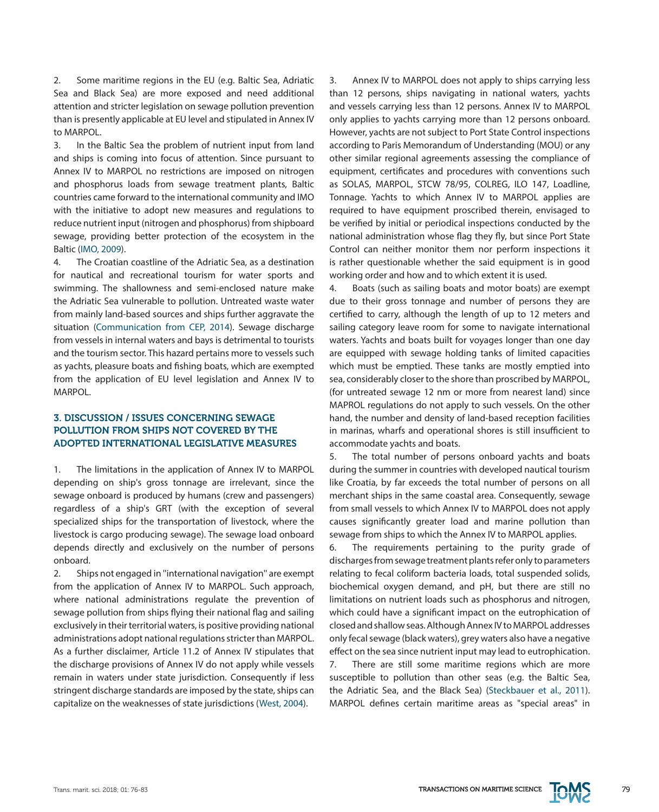2. Some maritime regions in the EU (e.g. Baltic Sea, Adriatic Sea and Black Sea) are more exposed and need additional attention and stricter legislation on sewage pollution prevention than is presently applicable at EU level and stipulated in Annex IV to MARPOL.

3. In the Baltic Sea the problem of nutrient input from land and ships is coming into focus of attention. Since pursuant to Annex IV to MARPOL no restrictions are imposed on nitrogen and phosphorus loads from sewage treatment plants, Baltic countries came forward to the international community and IMO with the initiative to adopt new measures and regulations to reduce nutrient input (nitrogen and phosphorus) from shipboard sewage, providing better protection of the ecosystem in the Baltic (IMO, 2009).

4. The Croatian coastline of the Adriatic Sea, as a destination for nautical and recreational tourism for water sports and swimming. The shallowness and semi-enclosed nature make the Adriatic Sea vulnerable to pollution. Untreated waste water from mainly land-based sources and ships further aggravate the situation (Communication from CEP, 2014). Sewage discharge from vessels in internal waters and bays is detrimental to tourists and the tourism sector. This hazard pertains more to vessels such as yachts, pleasure boats and fishing boats, which are exempted from the application of EU level legislation and Annex IV to MARPOL.

## 3. DISCUSSION / ISSUES CONCERNING SEWAGE POLLUTION FROM SHIPS NOT COVERED BY THE ADOPTED INTERNATIONAL LEGISLATIVE MEASURES

1. The limitations in the application of Annex IV to MARPOL depending on ship's gross tonnage are irrelevant, since the sewage onboard is produced by humans (crew and passengers) regardless of a ship's GRT (with the exception of several specialized ships for the transportation of livestock, where the livestock is cargo producing sewage). The sewage load onboard depends directly and exclusively on the number of persons onboard.

2. Ships not engaged in ''international navigation'' are exempt from the application of Annex IV to MARPOL. Such approach, where national administrations regulate the prevention of sewage pollution from ships flying their national flag and sailing exclusively in their territorial waters, is positive providing national administrations adopt national regulations stricter than MARPOL. As a further disclaimer, Article 11.2 of Annex IV stipulates that the discharge provisions of Annex IV do not apply while vessels remain in waters under state jurisdiction. Consequently if less stringent discharge standards are imposed by the state, ships can capitalize on the weaknesses of state jurisdictions (West, 2004).

3. Annex IV to MARPOL does not apply to ships carrying less than 12 persons, ships navigating in national waters, yachts and vessels carrying less than 12 persons. Annex IV to MARPOL only applies to yachts carrying more than 12 persons onboard. However, yachts are not subject to Port State Control inspections according to Paris Memorandum of Understanding (MOU) or any other similar regional agreements assessing the compliance of equipment, certificates and procedures with conventions such as SOLAS, MARPOL, STCW 78/95, COLREG, ILO 147, Loadline, Tonnage. Yachts to which Annex IV to MARPOL applies are required to have equipment proscribed therein, envisaged to be verified by initial or periodical inspections conducted by the national administration whose flag they fly, but since Port State Control can neither monitor them nor perform inspections it is rather questionable whether the said equipment is in good working order and how and to which extent it is used.

4. Boats (such as sailing boats and motor boats) are exempt due to their gross tonnage and number of persons they are certified to carry, although the length of up to 12 meters and sailing category leave room for some to navigate international waters. Yachts and boats built for voyages longer than one day are equipped with sewage holding tanks of limited capacities which must be emptied. These tanks are mostly emptied into sea, considerably closer to the shore than proscribed by MARPOL, (for untreated sewage 12 nm or more from nearest land) since MAPROL regulations do not apply to such vessels. On the other hand, the number and density of land-based reception facilities in marinas, wharfs and operational shores is still insufficient to accommodate yachts and boats.

5. The total number of persons onboard yachts and boats during the summer in countries with developed nautical tourism like Croatia, by far exceeds the total number of persons on all merchant ships in the same coastal area. Consequently, sewage from small vessels to which Annex IV to MARPOL does not apply causes significantly greater load and marine pollution than sewage from ships to which the Annex IV to MARPOL applies.

6. The requirements pertaining to the purity grade of discharges from sewage treatment plants refer only to parameters relating to fecal coliform bacteria loads, total suspended solids, biochemical oxygen demand, and pH, but there are still no limitations on nutrient loads such as phosphorus and nitrogen, which could have a significant impact on the eutrophication of closed and shallow seas. Although Annex IV to MARPOL addresses only fecal sewage (black waters), grey waters also have a negative effect on the sea since nutrient input may lead to eutrophication.

7. There are still some maritime regions which are more susceptible to pollution than other seas (e.g. the Baltic Sea, the Adriatic Sea, and the Black Sea) (Steckbauer et al., 2011). MARPOL defines certain maritime areas as "special areas" in

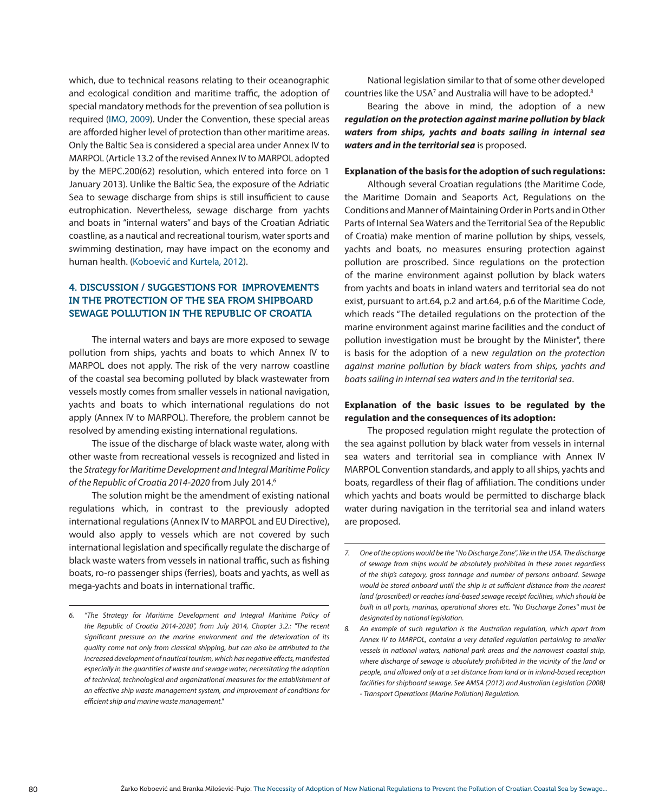which, due to technical reasons relating to their oceanographic and ecological condition and maritime traffic, the adoption of special mandatory methods for the prevention of sea pollution is required (IMO, 2009). Under the Convention, these special areas are afforded higher level of protection than other maritime areas. Only the Baltic Sea is considered a special area under Annex IV to MARPOL (Article 13.2 of the revised Annex IV to MARPOL adopted by the MEPC.200(62) resolution, which entered into force on 1 January 2013). Unlike the Baltic Sea, the exposure of the Adriatic Sea to sewage discharge from ships is still insufficient to cause eutrophication. Nevertheless, sewage discharge from yachts and boats in "internal waters" and bays of the Croatian Adriatic coastline, as a nautical and recreational tourism, water sports and swimming destination, may have impact on the economy and human health. (Koboević and Kurtela, 2012).

## 4. DISCUSSION / SUGGESTIONS FOR IMPROVEMENTS IN THE PROTECTION OF THE SEA FROM SHIPBOARD SEWAGE POLLUTION IN THE REPUBLIC OF CROATIA

The internal waters and bays are more exposed to sewage pollution from ships, yachts and boats to which Annex IV to MARPOL does not apply. The risk of the very narrow coastline of the coastal sea becoming polluted by black wastewater from vessels mostly comes from smaller vessels in national navigation, yachts and boats to which international regulations do not apply (Annex IV to MARPOL). Therefore, the problem cannot be resolved by amending existing international regulations.

The issue of the discharge of black waste water, along with other waste from recreational vessels is recognized and listed in the *Strategy for Maritime Development and Integral Maritime Policy of the Republic of Croatia 2014-2020* from July 2014.6

The solution might be the amendment of existing national regulations which, in contrast to the previously adopted international regulations (Annex IV to MARPOL and EU Directive), would also apply to vessels which are not covered by such international legislation and specifically regulate the discharge of black waste waters from vessels in national traffic, such as fishing boats, ro-ro passenger ships (ferries), boats and yachts, as well as mega-yachts and boats in international traffic.

National legislation similar to that of some other developed countries like the USA<sup>7</sup> and Australia will have to be adopted.<sup>8</sup>

Bearing the above in mind, the adoption of a new *regulation on the protection against marine pollution by black waters from ships, yachts and boats sailing in internal sea waters and in the territorial sea* is proposed.

#### **Explanation of the basis for the adoption of such regulations:**

Although several Croatian regulations (the Maritime Code, the Maritime Domain and Seaports Act, Regulations on the Conditions and Manner of Maintaining Order in Ports and in Other Parts of Internal Sea Waters and the Territorial Sea of the Republic of Croatia) make mention of marine pollution by ships, vessels, yachts and boats, no measures ensuring protection against pollution are proscribed. Since regulations on the protection of the marine environment against pollution by black waters from yachts and boats in inland waters and territorial sea do not exist, pursuant to art.64, p.2 and art.64, p.6 of the Maritime Code, which reads "The detailed regulations on the protection of the marine environment against marine facilities and the conduct of pollution investigation must be brought by the Minister", there is basis for the adoption of a new *regulation on the protection against marine pollution by black waters from ships, yachts and boats sailing in internal sea waters and in the territorial sea*.

#### **Explanation of the basic issues to be regulated by the regulation and the consequences of its adoption:**

The proposed regulation might regulate the protection of the sea against pollution by black water from vessels in internal sea waters and territorial sea in compliance with Annex IV MARPOL Convention standards, and apply to all ships, yachts and boats, regardless of their flag of affiliation. The conditions under which yachts and boats would be permitted to discharge black water during navigation in the territorial sea and inland waters are proposed.

*<sup>6.</sup> "The Strategy for Maritime Development and Integral Maritime Policy of the Republic of Croatia 2014-2020", from July 2014, Chapter 3.2.: "The recent significant pressure on the marine environment and the deterioration of its quality come not only from classical shipping, but can also be attributed to the increased development of nautical tourism, which has negative effects, manifested especially in the quantities of waste and sewage water, necessitating the adoption of technical, technological and organizational measures for the establishment of an effective ship waste management system, and improvement of conditions for efficient ship and marine waste management."*

*<sup>7.</sup> One of the options would be the ''No Discharge Zone'', like in the USA. The discharge of sewage from ships would be absolutely prohibited in these zones regardless of the ship's category, gross tonnage and number of persons onboard. Sewage would be stored onboard until the ship is at sufficient distance from the nearest land (proscribed) or reaches land-based sewage receipt facilities, which should be built in all ports, marinas, operational shores etc. ''No Discharge Zones'' must be designated by national legislation.* 

*<sup>8.</sup> An example of such regulation is the Australian regulation, which apart from Annex IV to MARPOL, contains a very detailed regulation pertaining to smaller vessels in national waters, national park areas and the narrowest coastal strip, where discharge of sewage is absolutely prohibited in the vicinity of the land or people, and allowed only at a set distance from land or in inland-based reception*  facilities for shipboard sewage. See AMSA (2012) and Australian Legislation (2008) *- Transport Operations (Marine Pollution) Regulation.*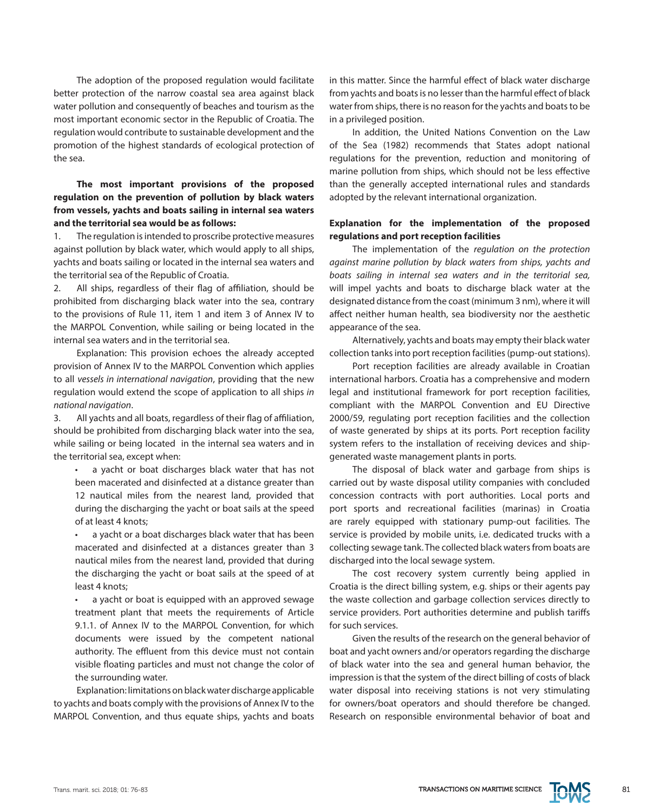The adoption of the proposed regulation would facilitate better protection of the narrow coastal sea area against black water pollution and consequently of beaches and tourism as the most important economic sector in the Republic of Croatia. The regulation would contribute to sustainable development and the promotion of the highest standards of ecological protection of the sea.

# **The most important provisions of the proposed regulation on the prevention of pollution by black waters from vessels, yachts and boats sailing in internal sea waters and the territorial sea would be as follows:**

1. The regulation is intended to proscribe protective measures against pollution by black water, which would apply to all ships, yachts and boats sailing or located in the internal sea waters and the territorial sea of the Republic of Croatia.

2. All ships, regardless of their flag of affiliation, should be prohibited from discharging black water into the sea, contrary to the provisions of Rule 11, item 1 and item 3 of Annex IV to the MARPOL Convention, while sailing or being located in the internal sea waters and in the territorial sea.

Explanation: This provision echoes the already accepted provision of Annex IV to the MARPOL Convention which applies to all *vessels in international navigation*, providing that the new regulation would extend the scope of application to all ships *in national navigation*.

3. All yachts and all boats, regardless of their flag of affiliation, should be prohibited from discharging black water into the sea, while sailing or being located in the internal sea waters and in the territorial sea, except when:

a yacht or boat discharges black water that has not been macerated and disinfected at a distance greater than 12 nautical miles from the nearest land, provided that during the discharging the yacht or boat sails at the speed of at least 4 knots;

a yacht or a boat discharges black water that has been macerated and disinfected at a distances greater than 3 nautical miles from the nearest land, provided that during the discharging the yacht or boat sails at the speed of at least 4 knots;

• a yacht or boat is equipped with an approved sewage treatment plant that meets the requirements of Article 9.1.1. of Annex IV to the MARPOL Convention, for which documents were issued by the competent national authority. The effluent from this device must not contain visible floating particles and must not change the color of the surrounding water.

Explanation: limitations on black water discharge applicable to yachts and boats comply with the provisions of Annex IV to the MARPOL Convention, and thus equate ships, yachts and boats in this matter. Since the harmful effect of black water discharge from yachts and boats is no lesser than the harmful effect of black water from ships, there is no reason for the yachts and boats to be in a privileged position.

In addition, the United Nations Convention on the Law of the Sea (1982) recommends that States adopt national regulations for the prevention, reduction and monitoring of marine pollution from ships, which should not be less effective than the generally accepted international rules and standards adopted by the relevant international organization.

#### **Explanation for the implementation of the proposed regulations and port reception facilities**

The implementation of the *regulation on the protection against marine pollution by black waters from ships, yachts and boats sailing in internal sea waters and in the territorial sea,* will impel yachts and boats to discharge black water at the designated distance from the coast (minimum 3 nm), where it will affect neither human health, sea biodiversity nor the aesthetic appearance of the sea.

Alternatively, yachts and boats may empty their black water collection tanks into port reception facilities (pump-out stations).

Port reception facilities are already available in Croatian international harbors. Croatia has a comprehensive and modern legal and institutional framework for port reception facilities, compliant with the MARPOL Convention and EU Directive 2000/59, regulating port reception facilities and the collection of waste generated by ships at its ports. Port reception facility system refers to the installation of receiving devices and shipgenerated waste management plants in ports.

The disposal of black water and garbage from ships is carried out by waste disposal utility companies with concluded concession contracts with port authorities. Local ports and port sports and recreational facilities (marinas) in Croatia are rarely equipped with stationary pump-out facilities. The service is provided by mobile units, i.e. dedicated trucks with a collecting sewage tank. The collected black waters from boats are discharged into the local sewage system.

The cost recovery system currently being applied in Croatia is the direct billing system, e.g. ships or their agents pay the waste collection and garbage collection services directly to service providers. Port authorities determine and publish tariffs for such services.

Given the results of the research on the general behavior of boat and yacht owners and/or operators regarding the discharge of black water into the sea and general human behavior, the impression is that the system of the direct billing of costs of black water disposal into receiving stations is not very stimulating for owners/boat operators and should therefore be changed. Research on responsible environmental behavior of boat and

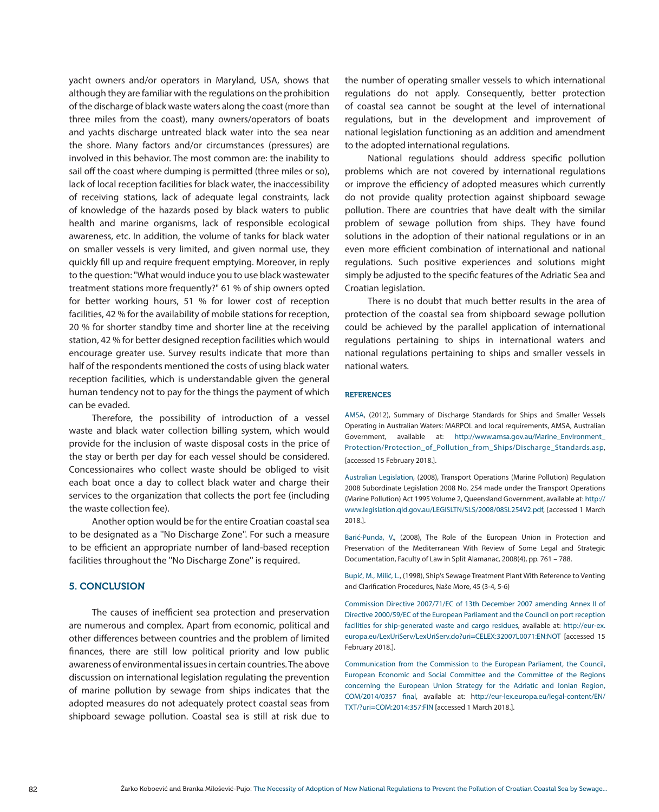yacht owners and/or operators in Maryland, USA, shows that although they are familiar with the regulations on the prohibition of the discharge of black waste waters along the coast (more than three miles from the coast), many owners/operators of boats and yachts discharge untreated black water into the sea near the shore. Many factors and/or circumstances (pressures) are involved in this behavior. The most common are: the inability to sail off the coast where dumping is permitted (three miles or so), lack of local reception facilities for black water, the inaccessibility of receiving stations, lack of adequate legal constraints, lack of knowledge of the hazards posed by black waters to public health and marine organisms, lack of responsible ecological awareness, etc. In addition, the volume of tanks for black water on smaller vessels is very limited, and given normal use, they quickly fill up and require frequent emptying. Moreover, in reply to the question: "What would induce you to use black wastewater treatment stations more frequently?" 61 % of ship owners opted for better working hours, 51 % for lower cost of reception facilities, 42 % for the availability of mobile stations for reception, 20 % for shorter standby time and shorter line at the receiving station, 42 % for better designed reception facilities which would encourage greater use. Survey results indicate that more than half of the respondents mentioned the costs of using black water reception facilities, which is understandable given the general human tendency not to pay for the things the payment of which can be evaded.

Therefore, the possibility of introduction of a vessel waste and black water collection billing system, which would provide for the inclusion of waste disposal costs in the price of the stay or berth per day for each vessel should be considered. Concessionaires who collect waste should be obliged to visit each boat once a day to collect black water and charge their services to the organization that collects the port fee (including the waste collection fee).

Another option would be for the entire Croatian coastal sea to be designated as a ''No Discharge Zone''. For such a measure to be efficient an appropriate number of land-based reception facilities throughout the ''No Discharge Zone'' is required.

#### 5. CONCLUSION

The causes of inefficient sea protection and preservation are numerous and complex. Apart from economic, political and other differences between countries and the problem of limited finances, there are still low political priority and low public awareness of environmental issues in certain countries. The above discussion on international legislation regulating the prevention of marine pollution by sewage from ships indicates that the adopted measures do not adequately protect coastal seas from shipboard sewage pollution. Coastal sea is still at risk due to the number of operating smaller vessels to which international regulations do not apply. Consequently, better protection of coastal sea cannot be sought at the level of international regulations, but in the development and improvement of national legislation functioning as an addition and amendment to the adopted international regulations.

National regulations should address specific pollution problems which are not covered by international regulations or improve the efficiency of adopted measures which currently do not provide quality protection against shipboard sewage pollution. There are countries that have dealt with the similar problem of sewage pollution from ships. They have found solutions in the adoption of their national regulations or in an even more efficient combination of international and national regulations. Such positive experiences and solutions might simply be adjusted to the specific features of the Adriatic Sea and Croatian legislation.

There is no doubt that much better results in the area of protection of the coastal sea from shipboard sewage pollution could be achieved by the parallel application of international regulations pertaining to ships in international waters and national regulations pertaining to ships and smaller vessels in national waters.

#### **REFERENCES**

AMSA, (2012), Summary of Discharge Standards for Ships and Smaller Vessels Operating in Australian Waters: MARPOL and local requirements, AMSA, Australian Government, available at: [http://www.amsa.gov.au/Marine\\_Environment\\_](http://www.amsa.gov.au/Marine_Environment_Protection/Protection_of_Pollution_from_Ships/Discharge_Standards.asp) [Protection/Protection\\_of\\_Pollution\\_from\\_Ships/Discharge\\_Standards.asp](http://www.amsa.gov.au/Marine_Environment_Protection/Protection_of_Pollution_from_Ships/Discharge_Standards.asp), [accessed 15 February 2018.].

Australian Legislation, (2008), Transport Operations (Marine Pollution) Regulation 2008 Subordinate Legislation 2008 No. 254 made under the Transport Operations (Marine Pollution) Act 1995 Volume 2, Queensland Government, available at: [http://](http://www.legislation.qld.gov.au/LEGISLTN/SLS/2008/08SL254V2.pdf) [www.legislation.qld.gov.au/LEGISLTN/SLS/2008/08SL254V2.pdf](http://www.legislation.qld.gov.au/LEGISLTN/SLS/2008/08SL254V2.pdf), [accessed 1 March 2018.].

Barić-Punda, V., (2008), The Role of the European Union in Protection and Preservation of the Mediterranean With Review of Some Legal and Strategic Documentation, Faculty of Law in Split Alamanac, 2008(4), pp. 761 – 788.

Bupić, M., Milić, L., (1998), Ship's Sewage Treatment Plant With Reference to Venting and Clarification Procedures, Naše More, 45 (3-4, 5-6)

Commission Directive 2007/71/EC of 13th December 2007 amending Annex II of Directive 2000/59/EC of the European Parliament and the Council on port reception facilities for ship-generated waste and cargo residues, available at: [http://eur-ex.](http://eur-ex.europa.eu/LexUriServ/LexUriServ.do%3Furi%3DCELEX:32007L0071:EN:NOT) [europa.eu/LexUriServ/LexUriServ.do?uri=CELEX:32007L0071:EN:NOT](http://eur-ex.europa.eu/LexUriServ/LexUriServ.do%3Furi%3DCELEX:32007L0071:EN:NOT) [accessed 15 February 2018.].

Communication from the Commission to the European Parliament, the Council, European Economic and Social Committee and the Committee of the Regions concerning the European Union Strategy for the Adriatic and Ionian Region, COM/2014/0357 final, available at: [http://eur-lex.europa.eu/legal-content/EN/](ttp://eur-lex.europa.eu/legal-content/EN/TXT/%3Furi%3DCOM:2014:357:FIN) [TXT/?uri=COM:2014:357:FIN](ttp://eur-lex.europa.eu/legal-content/EN/TXT/%3Furi%3DCOM:2014:357:FIN) [accessed 1 March 2018.].